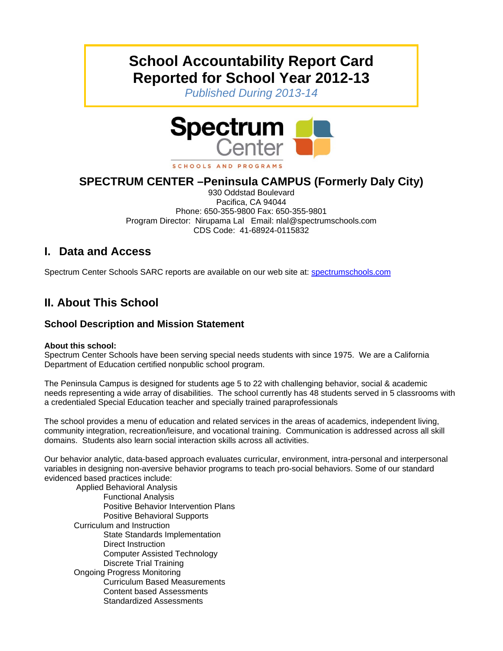# **School Accountability Report Card Reported for School Year 2012-13**

*Published During 2013-14* 



SCHOOLS AND PROGRAMS

# **SPECTRUM CENTER –Peninsula CAMPUS (Formerly Daly City)**

930 Oddstad Boulevard Pacifica, CA 94044 Phone: 650-355-9800 Fax: 650-355-9801 Program Director: Nirupama Lal Email: nlal@spectrumschools.com CDS Code: 41-68924-0115832

## **I. Data and Access**

Spectrum Center Schools SARC reports are available on our web site at: spectrumschools.com

# **II. About This School**

### **School Description and Mission Statement**

#### **About this school:**

Spectrum Center Schools have been serving special needs students with since 1975. We are a California Department of Education certified nonpublic school program.

The Peninsula Campus is designed for students age 5 to 22 with challenging behavior, social & academic needs representing a wide array of disabilities. The school currently has 48 students served in 5 classrooms with a credentialed Special Education teacher and specially trained paraprofessionals

The school provides a menu of education and related services in the areas of academics, independent living, community integration, recreation/leisure, and vocational training. Communication is addressed across all skill domains. Students also learn social interaction skills across all activities.

Our behavior analytic, data-based approach evaluates curricular, environment, intra-personal and interpersonal variables in designing non-aversive behavior programs to teach pro-social behaviors. Some of our standard evidenced based practices include:

 Applied Behavioral Analysis Functional Analysis Positive Behavior Intervention Plans Positive Behavioral Supports Curriculum and Instruction State Standards Implementation Direct Instruction Computer Assisted Technology Discrete Trial Training Ongoing Progress Monitoring Curriculum Based Measurements Content based Assessments Standardized Assessments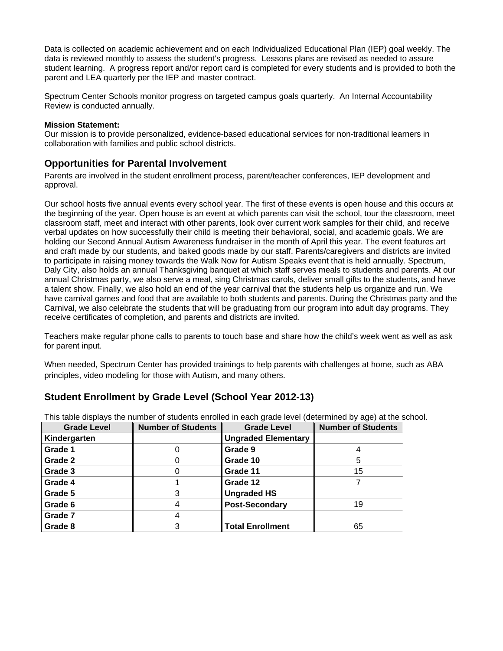Data is collected on academic achievement and on each Individualized Educational Plan (IEP) goal weekly. The data is reviewed monthly to assess the student's progress. Lessons plans are revised as needed to assure student learning. A progress report and/or report card is completed for every students and is provided to both the parent and LEA quarterly per the IEP and master contract.

Spectrum Center Schools monitor progress on targeted campus goals quarterly. An Internal Accountability Review is conducted annually.

#### **Mission Statement:**

Our mission is to provide personalized, evidence-based educational services for non-traditional learners in collaboration with families and public school districts.

#### **Opportunities for Parental Involvement**

Parents are involved in the student enrollment process, parent/teacher conferences, IEP development and approval.

Our school hosts five annual events every school year. The first of these events is open house and this occurs at the beginning of the year. Open house is an event at which parents can visit the school, tour the classroom, meet classroom staff, meet and interact with other parents, look over current work samples for their child, and receive verbal updates on how successfully their child is meeting their behavioral, social, and academic goals. We are holding our Second Annual Autism Awareness fundraiser in the month of April this year. The event features art and craft made by our students, and baked goods made by our staff. Parents/caregivers and districts are invited to participate in raising money towards the Walk Now for Autism Speaks event that is held annually. Spectrum, Daly City, also holds an annual Thanksgiving banquet at which staff serves meals to students and parents. At our annual Christmas party, we also serve a meal, sing Christmas carols, deliver small gifts to the students, and have a talent show. Finally, we also hold an end of the year carnival that the students help us organize and run. We have carnival games and food that are available to both students and parents. During the Christmas party and the Carnival, we also celebrate the students that will be graduating from our program into adult day programs. They receive certificates of completion, and parents and districts are invited.

Teachers make regular phone calls to parents to touch base and share how the child's week went as well as ask for parent input.

When needed, Spectrum Center has provided trainings to help parents with challenges at home, such as ABA principles, video modeling for those with Autism, and many others.

#### **Student Enrollment by Grade Level (School Year 2012-13)**

| <b>Grade Level</b> | <b>Number of Students</b> | <b>Grade Level</b>         | <b>Number of Students</b> |
|--------------------|---------------------------|----------------------------|---------------------------|
| Kindergarten       |                           | <b>Ungraded Elementary</b> |                           |
| Grade 1            |                           | Grade 9                    |                           |
| Grade 2            |                           | Grade 10                   |                           |
| Grade 3            |                           | Grade 11                   | 15                        |
| Grade 4            |                           | Grade 12                   |                           |
| Grade 5            | 3                         | <b>Ungraded HS</b>         |                           |
| Grade 6            |                           | <b>Post-Secondary</b>      | 19                        |
| Grade 7            |                           |                            |                           |
| Grade 8            |                           | <b>Total Enrollment</b>    | 65                        |

This table displays the number of students enrolled in each grade level (determined by age) at the school.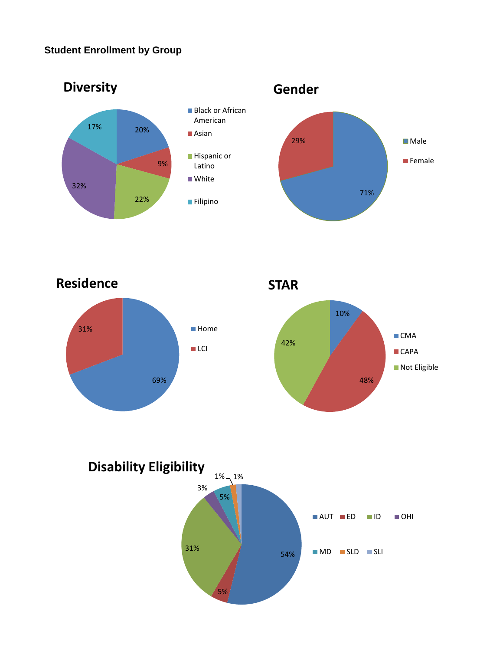### **Student Enrollment by Group**









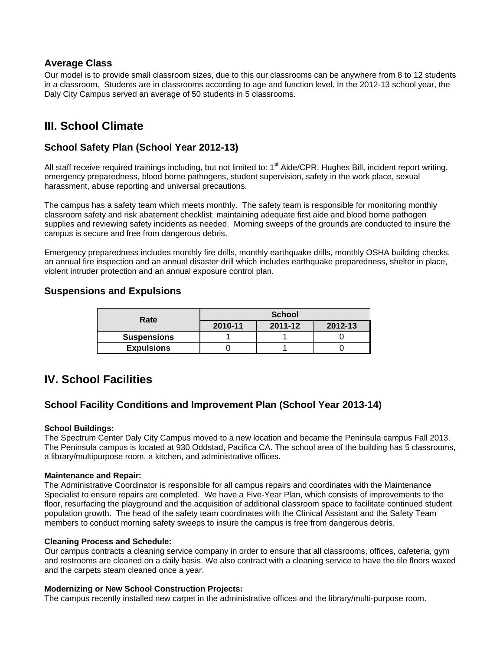#### **Average Class**

Our model is to provide small classroom sizes, due to this our classrooms can be anywhere from 8 to 12 students in a classroom. Students are in classrooms according to age and function level. In the 2012-13 school year, the Daly City Campus served an average of 50 students in 5 classrooms.

# **III. School Climate**

#### **School Safety Plan (School Year 2012-13)**

All staff receive required trainings including, but not limited to: 1<sup>st</sup> Aide/CPR, Hughes Bill, incident report writing, emergency preparedness, blood borne pathogens, student supervision, safety in the work place, sexual harassment, abuse reporting and universal precautions.

The campus has a safety team which meets monthly. The safety team is responsible for monitoring monthly classroom safety and risk abatement checklist, maintaining adequate first aide and blood borne pathogen supplies and reviewing safety incidents as needed. Morning sweeps of the grounds are conducted to insure the campus is secure and free from dangerous debris.

Emergency preparedness includes monthly fire drills, monthly earthquake drills, monthly OSHA building checks, an annual fire inspection and an annual disaster drill which includes earthquake preparedness, shelter in place, violent intruder protection and an annual exposure control plan.

#### **Suspensions and Expulsions**

| Rate               | <b>School</b> |         |         |  |
|--------------------|---------------|---------|---------|--|
|                    | 2010-11       | 2011-12 | 2012-13 |  |
| <b>Suspensions</b> |               |         |         |  |
| <b>Expulsions</b>  |               |         |         |  |

## **IV. School Facilities**

#### **School Facility Conditions and Improvement Plan (School Year 2013-14)**

#### **School Buildings:**

The Spectrum Center Daly City Campus moved to a new location and became the Peninsula campus Fall 2013. The Peninsula campus is located at 930 Oddstad, Pacifica CA. The school area of the building has 5 classrooms, a library/multipurpose room, a kitchen, and administrative offices.

#### **Maintenance and Repair:**

The Administrative Coordinator is responsible for all campus repairs and coordinates with the Maintenance Specialist to ensure repairs are completed. We have a Five-Year Plan, which consists of improvements to the floor, resurfacing the playground and the acquisition of additional classroom space to facilitate continued student population growth. The head of the safety team coordinates with the Clinical Assistant and the Safety Team members to conduct morning safety sweeps to insure the campus is free from dangerous debris.

#### **Cleaning Process and Schedule:**

Our campus contracts a cleaning service company in order to ensure that all classrooms, offices, cafeteria, gym and restrooms are cleaned on a daily basis. We also contract with a cleaning service to have the tile floors waxed and the carpets steam cleaned once a year.

#### **Modernizing or New School Construction Projects:**

The campus recently installed new carpet in the administrative offices and the library/multi-purpose room.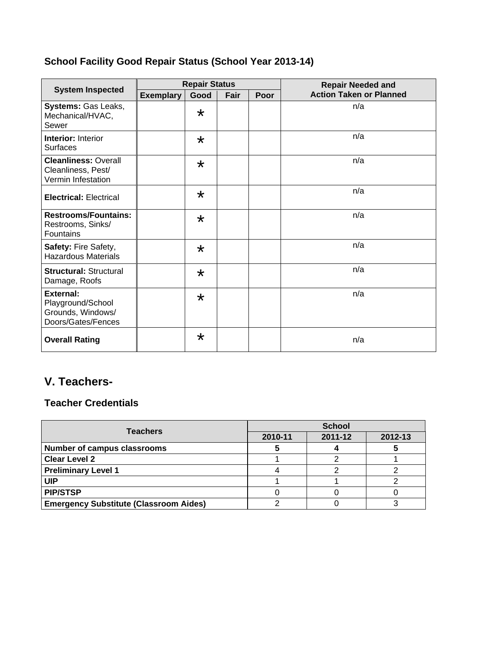# **School Facility Good Repair Status (School Year 2013-14)**

| <b>System Inspected</b>                                                          | <b>Repair Status</b> |         |      |      | <b>Repair Needed and</b>       |  |
|----------------------------------------------------------------------------------|----------------------|---------|------|------|--------------------------------|--|
|                                                                                  | <b>Exemplary</b>     | Good    | Fair | Poor | <b>Action Taken or Planned</b> |  |
| Systems: Gas Leaks,<br>Mechanical/HVAC,<br>Sewer                                 |                      | $\star$ |      |      | n/a                            |  |
| <b>Interior: Interior</b><br><b>Surfaces</b>                                     |                      | $\star$ |      |      | n/a                            |  |
| <b>Cleanliness: Overall</b><br>Cleanliness, Pest/<br>Vermin Infestation          |                      | $\star$ |      |      | n/a                            |  |
| <b>Electrical: Electrical</b>                                                    |                      | $\star$ |      |      | n/a                            |  |
| <b>Restrooms/Fountains:</b><br>Restrooms, Sinks/<br><b>Fountains</b>             |                      | $\star$ |      |      | n/a                            |  |
| Safety: Fire Safety,<br><b>Hazardous Materials</b>                               |                      | $\star$ |      |      | n/a                            |  |
| <b>Structural: Structural</b><br>Damage, Roofs                                   |                      | $\star$ |      |      | n/a                            |  |
| <b>External:</b><br>Playground/School<br>Grounds, Windows/<br>Doors/Gates/Fences |                      | $\star$ |      |      | n/a                            |  |
| <b>Overall Rating</b>                                                            |                      | $\star$ |      |      | n/a                            |  |

# **V. Teachers-**

### **Teacher Credentials**

| <b>Teachers</b>                               | <b>School</b> |         |         |  |
|-----------------------------------------------|---------------|---------|---------|--|
|                                               | 2010-11       | 2011-12 | 2012-13 |  |
| <b>Number of campus classrooms</b>            |               |         |         |  |
| <b>Clear Level 2</b>                          |               |         |         |  |
| <b>Preliminary Level 1</b>                    |               |         |         |  |
| UIP                                           |               |         |         |  |
| <b>PIP/STSP</b>                               |               |         |         |  |
| <b>Emergency Substitute (Classroom Aides)</b> |               |         |         |  |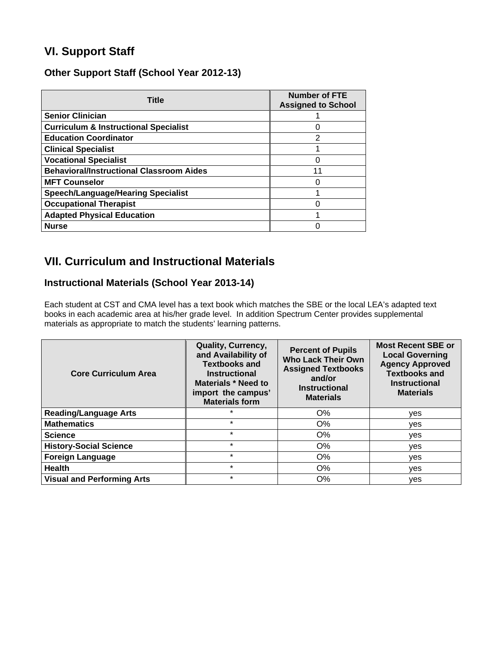# **VI. Support Staff**

#### **Other Support Staff (School Year 2012-13)**

| <b>Title</b>                                     | <b>Number of FTE</b><br><b>Assigned to School</b> |
|--------------------------------------------------|---------------------------------------------------|
| <b>Senior Clinician</b>                          |                                                   |
| <b>Curriculum &amp; Instructional Specialist</b> |                                                   |
| <b>Education Coordinator</b>                     | $\overline{2}$                                    |
| <b>Clinical Specialist</b>                       |                                                   |
| <b>Vocational Specialist</b>                     |                                                   |
| <b>Behavioral/Instructional Classroom Aides</b>  | 11                                                |
| <b>MFT Counselor</b>                             |                                                   |
| <b>Speech/Language/Hearing Specialist</b>        |                                                   |
| <b>Occupational Therapist</b>                    |                                                   |
| <b>Adapted Physical Education</b>                |                                                   |
| <b>Nurse</b>                                     |                                                   |

# **VII. Curriculum and Instructional Materials**

### **Instructional Materials (School Year 2013-14)**

Each student at CST and CMA level has a text book which matches the SBE or the local LEA's adapted text books in each academic area at his/her grade level. In addition Spectrum Center provides supplemental materials as appropriate to match the students' learning patterns.

| <b>Core Curriculum Area</b>       | Quality, Currency,<br>and Availability of<br><b>Textbooks and</b><br><b>Instructional</b><br><b>Materials * Need to</b><br>import the campus'<br><b>Materials form</b> | <b>Percent of Pupils</b><br><b>Who Lack Their Own</b><br><b>Assigned Textbooks</b><br>and/or<br><b>Instructional</b><br><b>Materials</b> | <b>Most Recent SBE or</b><br><b>Local Governing</b><br><b>Agency Approved</b><br><b>Textbooks and</b><br><b>Instructional</b><br><b>Materials</b> |
|-----------------------------------|------------------------------------------------------------------------------------------------------------------------------------------------------------------------|------------------------------------------------------------------------------------------------------------------------------------------|---------------------------------------------------------------------------------------------------------------------------------------------------|
| <b>Reading/Language Arts</b>      | $\star$                                                                                                                                                                | $O\%$                                                                                                                                    | yes                                                                                                                                               |
| <b>Mathematics</b>                | $\star$                                                                                                                                                                | O%                                                                                                                                       | ves                                                                                                                                               |
| <b>Science</b>                    | $\star$                                                                                                                                                                | $O\%$                                                                                                                                    | ves                                                                                                                                               |
| <b>History-Social Science</b>     | $\star$                                                                                                                                                                | $O\%$                                                                                                                                    | yes                                                                                                                                               |
| <b>Foreign Language</b>           | $\star$                                                                                                                                                                | O%                                                                                                                                       | yes                                                                                                                                               |
| <b>Health</b>                     | $\star$                                                                                                                                                                | $O\%$                                                                                                                                    | yes                                                                                                                                               |
| <b>Visual and Performing Arts</b> | $\star$                                                                                                                                                                | O%                                                                                                                                       | ves                                                                                                                                               |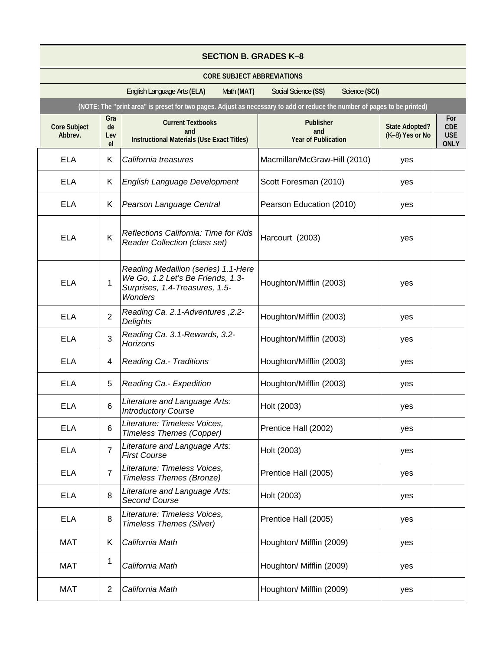|                                | <b>SECTION B. GRADES K-8</b> |                                                                                                                              |                                                       |                                          |                                                |
|--------------------------------|------------------------------|------------------------------------------------------------------------------------------------------------------------------|-------------------------------------------------------|------------------------------------------|------------------------------------------------|
|                                |                              | <b>CORE SUBJECT ABBREVIATIONS</b>                                                                                            |                                                       |                                          |                                                |
|                                |                              | English Language Arts (ELA)<br>Math (MAT)                                                                                    | Social Science (SS)<br>Science (SCI)                  |                                          |                                                |
|                                |                              | (NOTE: The "print area" is preset for two pages. Adjust as necessary to add or reduce the number of pages to be printed)     |                                                       |                                          |                                                |
| <b>Core Subject</b><br>Abbrev. | Gra<br>de<br>Lev<br>el       | <b>Current Textbooks</b><br>and<br><b>Instructional Materials (Use Exact Titles)</b>                                         | <b>Publisher</b><br>and<br><b>Year of Publication</b> | <b>State Adopted?</b><br>(K-8) Yes or No | For<br><b>CDE</b><br><b>USE</b><br><b>ONLY</b> |
| <b>ELA</b>                     | Κ                            | California treasures                                                                                                         | Macmillan/McGraw-Hill (2010)                          | yes                                      |                                                |
| ELA                            | Κ                            | English Language Development                                                                                                 | Scott Foresman (2010)                                 | yes                                      |                                                |
| ELA                            | K.                           | Pearson Language Central                                                                                                     | Pearson Education (2010)                              | yes                                      |                                                |
| <b>ELA</b>                     | Κ                            | Reflections California: Time for Kids<br><b>Reader Collection (class set)</b>                                                | Harcourt (2003)                                       | yes                                      |                                                |
| <b>ELA</b>                     | 1                            | Reading Medallion (series) 1.1-Here<br>We Go, 1.2 Let's Be Friends, 1.3-<br>Surprises, 1.4-Treasures, 1.5-<br><b>Wonders</b> | Houghton/Mifflin (2003)                               | yes                                      |                                                |
| <b>ELA</b>                     | $\overline{2}$               | Reading Ca. 2.1-Adventures, 2.2-<br>Delights                                                                                 | Houghton/Mifflin (2003)                               | yes                                      |                                                |
| <b>ELA</b>                     | 3                            | Reading Ca. 3.1-Rewards, 3.2-<br>Horizons                                                                                    | Houghton/Mifflin (2003)                               | yes                                      |                                                |
| <b>ELA</b>                     | 4                            | <b>Reading Ca.- Traditions</b>                                                                                               | Houghton/Mifflin (2003)                               | yes                                      |                                                |
| <b>ELA</b>                     | 5                            | Reading Ca. - Expedition                                                                                                     | Houghton/Mifflin (2003)                               | yes                                      |                                                |
| <b>ELA</b>                     | 6                            | Literature and Language Arts:<br><b>Introductory Course</b>                                                                  | Holt (2003)                                           | yes                                      |                                                |
| <b>ELA</b>                     | 6                            | Literature: Timeless Voices,<br><b>Timeless Themes (Copper)</b>                                                              | Prentice Hall (2002)                                  | yes                                      |                                                |
| <b>ELA</b>                     | $\overline{7}$               | Literature and Language Arts:<br><b>First Course</b>                                                                         | Holt (2003)                                           | yes                                      |                                                |
| <b>ELA</b>                     | $\overline{7}$               | Literature: Timeless Voices,<br>Timeless Themes (Bronze)                                                                     | Prentice Hall (2005)                                  | yes                                      |                                                |
| <b>ELA</b>                     | 8                            | Literature and Language Arts:<br><b>Second Course</b>                                                                        | Holt (2003)                                           | yes                                      |                                                |
| <b>ELA</b>                     | 8                            | Literature: Timeless Voices,<br><b>Timeless Themes (Silver)</b>                                                              | Prentice Hall (2005)                                  | yes                                      |                                                |
| <b>MAT</b>                     | Κ                            | California Math                                                                                                              | Houghton/ Mifflin (2009)                              | yes                                      |                                                |
| <b>MAT</b>                     | 1                            | California Math                                                                                                              | Houghton/ Mifflin (2009)                              | yes                                      |                                                |
| MAT                            | $\overline{2}$               | California Math                                                                                                              | Houghton/ Mifflin (2009)                              | yes                                      |                                                |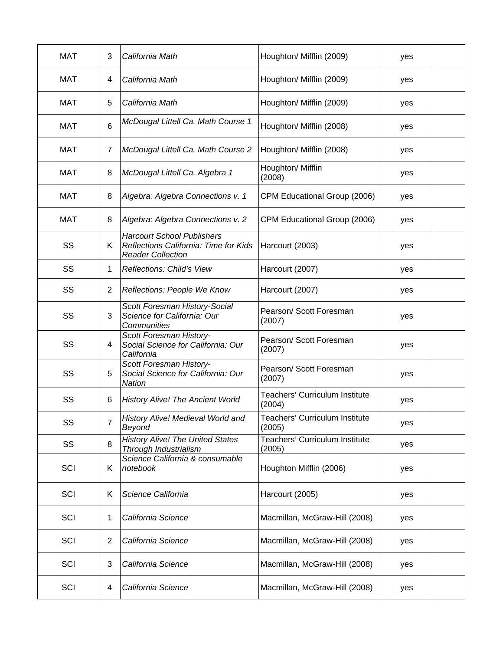| <b>MAT</b> | 3  | California Math                                                                                        | Houghton/ Mifflin (2009)                        | yes |  |
|------------|----|--------------------------------------------------------------------------------------------------------|-------------------------------------------------|-----|--|
| <b>MAT</b> | 4  | California Math                                                                                        | Houghton/ Mifflin (2009)                        | yes |  |
| <b>MAT</b> | 5  | California Math                                                                                        | Houghton/ Mifflin (2009)                        | yes |  |
| <b>MAT</b> | 6  | McDougal Littell Ca. Math Course 1                                                                     | Houghton/ Mifflin (2008)                        | yes |  |
| <b>MAT</b> | 7  | McDougal Littell Ca. Math Course 2                                                                     | Houghton/ Mifflin (2008)                        | yes |  |
| <b>MAT</b> | 8  | McDougal Littell Ca. Algebra 1                                                                         | Houghton/ Mifflin<br>(2008)                     | yes |  |
| <b>MAT</b> | 8  | Algebra: Algebra Connections v. 1                                                                      | CPM Educational Group (2006)                    | yes |  |
| <b>MAT</b> | 8  | Algebra: Algebra Connections v. 2                                                                      | CPM Educational Group (2006)                    | yes |  |
| SS         | Κ  | <b>Harcourt School Publishers</b><br>Reflections California: Time for Kids<br><b>Reader Collection</b> | Harcourt (2003)                                 | yes |  |
| SS         | 1  | <b>Reflections: Child's View</b>                                                                       | Harcourt (2007)                                 | yes |  |
| SS         | 2  | Reflections: People We Know                                                                            | Harcourt (2007)                                 | yes |  |
| SS         | 3  | Scott Foresman History-Social<br>Science for California: Our<br>Communities                            | Pearson/ Scott Foresman<br>(2007)               | yes |  |
| SS         | 4  | Scott Foresman History-<br>Social Science for California: Our<br>California                            | Pearson/ Scott Foresman<br>(2007)               | yes |  |
| SS         | 5  | Scott Foresman History-<br>Social Science for California: Our<br><b>Nation</b>                         | Pearson/ Scott Foresman<br>(2007)               | yes |  |
| SS         | 6  | <b>History Alive! The Ancient World</b>                                                                | <b>Teachers' Curriculum Institute</b><br>(2004) | yes |  |
| SS         | 7  | History Alive! Medieval World and<br>Beyond                                                            | Teachers' Curriculum Institute<br>(2005)        | yes |  |
| SS         | 8  | <b>History Alive! The United States</b><br>Through Industrialism                                       | Teachers' Curriculum Institute<br>(2005)        | yes |  |
| SCI        | K. | Science California & consumable<br>notebook                                                            | Houghton Mifflin (2006)                         | yes |  |
| SCI        | K  | Science California                                                                                     | Harcourt (2005)                                 | yes |  |
| SCI        | 1  | California Science                                                                                     | Macmillan, McGraw-Hill (2008)                   | yes |  |
| SCI        | 2  | California Science                                                                                     | Macmillan, McGraw-Hill (2008)                   | yes |  |
| SCI        | 3  | California Science                                                                                     | Macmillan, McGraw-Hill (2008)                   | yes |  |
| SCI        | 4  | California Science                                                                                     | Macmillan, McGraw-Hill (2008)                   | yes |  |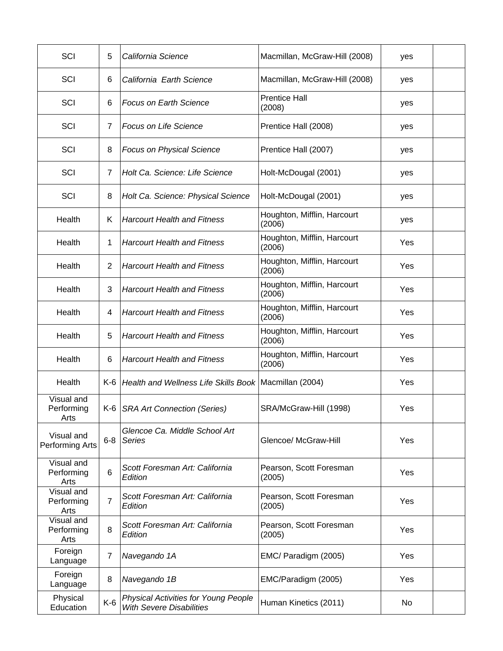| SCI                              | 5              | California Science                                                             | Macmillan, McGraw-Hill (2008)         | yes |  |
|----------------------------------|----------------|--------------------------------------------------------------------------------|---------------------------------------|-----|--|
| SCI                              | 6              | California Earth Science                                                       | Macmillan, McGraw-Hill (2008)         | yes |  |
| SCI                              | 6              | <b>Focus on Earth Science</b>                                                  | <b>Prentice Hall</b><br>(2008)        | yes |  |
| SCI                              | 7              | <b>Focus on Life Science</b>                                                   | Prentice Hall (2008)                  | yes |  |
| SCI                              | 8              | <b>Focus on Physical Science</b>                                               | Prentice Hall (2007)                  | yes |  |
| SCI                              | 7              | Holt Ca. Science: Life Science                                                 | Holt-McDougal (2001)                  | yes |  |
| SCI                              | 8              | Holt Ca. Science: Physical Science                                             | Holt-McDougal (2001)                  | yes |  |
| Health                           | K              | <b>Harcourt Health and Fitness</b>                                             | Houghton, Mifflin, Harcourt<br>(2006) | yes |  |
| Health                           | 1              | <b>Harcourt Health and Fitness</b>                                             | Houghton, Mifflin, Harcourt<br>(2006) | Yes |  |
| Health                           | 2              | <b>Harcourt Health and Fitness</b>                                             | Houghton, Mifflin, Harcourt<br>(2006) | Yes |  |
| Health                           | 3              | <b>Harcourt Health and Fitness</b>                                             | Houghton, Mifflin, Harcourt<br>(2006) | Yes |  |
| Health                           | 4              | <b>Harcourt Health and Fitness</b>                                             | Houghton, Mifflin, Harcourt<br>(2006) | Yes |  |
| Health                           | 5              | <b>Harcourt Health and Fitness</b>                                             | Houghton, Mifflin, Harcourt<br>(2006) | Yes |  |
| Health                           | 6              | <b>Harcourt Health and Fitness</b>                                             | Houghton, Mifflin, Harcourt<br>(2006) | Yes |  |
| Health                           | K-6            | Health and Wellness Life Skills Book   Macmillan (2004)                        |                                       | Yes |  |
| Visual and<br>Performing<br>Arts |                | K-6   SRA Art Connection (Series)                                              | SRA/McGraw-Hill (1998)                | Yes |  |
| Visual and<br>Performing Arts    | $6 - 8$        | Glencoe Ca. Middle School Art<br>Series                                        | Glencoe/ McGraw-Hill                  | Yes |  |
| Visual and<br>Performing<br>Arts | 6              | Scott Foresman Art: California<br>Edition                                      | Pearson, Scott Foresman<br>(2005)     | Yes |  |
| Visual and<br>Performing<br>Arts | $\overline{7}$ | Scott Foresman Art: California<br>Edition                                      | Pearson, Scott Foresman<br>(2005)     | Yes |  |
| Visual and<br>Performing<br>Arts | 8              | Scott Foresman Art: California<br>Edition                                      | Pearson, Scott Foresman<br>(2005)     | Yes |  |
| Foreign<br>Language              | $\overline{7}$ | Navegando 1A                                                                   | EMC/ Paradigm (2005)                  | Yes |  |
| Foreign<br>Language              | 8              | Navegando 1B                                                                   | EMC/Paradigm (2005)                   | Yes |  |
| Physical<br>Education            | $K-6$          | <b>Physical Activities for Young People</b><br><b>With Severe Disabilities</b> | Human Kinetics (2011)                 | No  |  |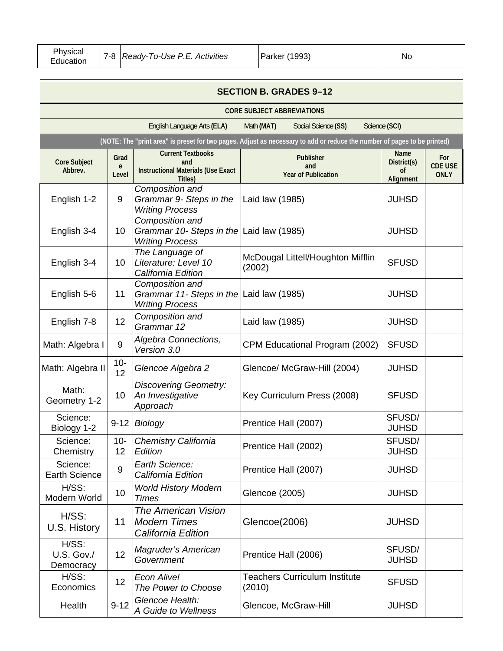| Physicaı<br>(1993)<br>Ready-To-Use P.E. Activities<br>7-8<br>Parker<br><b>NO</b><br>Education |  |
|-----------------------------------------------------------------------------------------------|--|
|-----------------------------------------------------------------------------------------------|--|

|                                     | <b>SECTION B. GRADES 9-12</b> |                                                                                         |                                                                                                                          |                                               |                                      |  |
|-------------------------------------|-------------------------------|-----------------------------------------------------------------------------------------|--------------------------------------------------------------------------------------------------------------------------|-----------------------------------------------|--------------------------------------|--|
|                                     |                               |                                                                                         | <b>CORE SUBJECT ABBREVIATIONS</b>                                                                                        |                                               |                                      |  |
|                                     |                               | English Language Arts (ELA)                                                             | Math (MAT)<br>Social Science (SS)                                                                                        | Science (SCI)                                 |                                      |  |
|                                     |                               |                                                                                         | (NOTE: The "print area" is preset for two pages. Adjust as necessary to add or reduce the number of pages to be printed) |                                               |                                      |  |
| <b>Core Subject</b><br>Abbrev.      | Grad<br>e<br>Level            | <b>Current Textbooks</b><br>and<br><b>Instructional Materials (Use Exact</b><br>Titles) | <b>Publisher</b><br>and<br><b>Year of Publication</b>                                                                    | <b>Name</b><br>District(s)<br>0f<br>Alignment | For<br><b>CDE USE</b><br><b>ONLY</b> |  |
| English 1-2                         | 9                             | Composition and<br>Grammar 9- Steps in the<br><b>Writing Process</b>                    | Laid law (1985)                                                                                                          | <b>JUHSD</b>                                  |                                      |  |
| English 3-4                         | 10                            | Composition and<br>Grammar 10- Steps in the Laid law (1985)<br><b>Writing Process</b>   |                                                                                                                          | <b>JUHSD</b>                                  |                                      |  |
| English 3-4                         | 10                            | The Language of<br>Literature: Level 10<br>California Edition                           | McDougal Littell/Houghton Mifflin<br>(2002)                                                                              | <b>SFUSD</b>                                  |                                      |  |
| English 5-6                         | 11                            | Composition and<br>Grammar 11- Steps in the Laid law (1985)<br><b>Writing Process</b>   |                                                                                                                          | <b>JUHSD</b>                                  |                                      |  |
| English 7-8                         | 12                            | Composition and<br>Grammar 12                                                           | Laid law (1985)                                                                                                          | <b>JUHSD</b>                                  |                                      |  |
| Math: Algebra I                     | $9\,$                         | Algebra Connections,<br>Version 3.0                                                     | CPM Educational Program (2002)                                                                                           | <b>SFUSD</b>                                  |                                      |  |
| Math: Algebra II                    | $10-$<br>12                   | Glencoe Algebra 2                                                                       | Glencoe/ McGraw-Hill (2004)                                                                                              | <b>JUHSD</b>                                  |                                      |  |
| Math:<br>Geometry 1-2               | 10                            | <b>Discovering Geometry:</b><br>An Investigative<br>Approach                            | Key Curriculum Press (2008)                                                                                              | <b>SFUSD</b>                                  |                                      |  |
| Science:<br>Biology 1-2             | $9 - 12$                      | <b>Biology</b>                                                                          | Prentice Hall (2007)                                                                                                     | SFUSD/<br><b>JUHSD</b>                        |                                      |  |
| Science:<br>Chemistry               | $10 -$<br>12                  | <b>Chemistry California</b><br>Edition                                                  | Prentice Hall (2002)                                                                                                     | SFUSD/<br><b>JUHSD</b>                        |                                      |  |
| Science:<br><b>Earth Science</b>    | 9                             | Earth Science:<br>California Edition                                                    | Prentice Hall (2007)                                                                                                     | <b>JUHSD</b>                                  |                                      |  |
| H/SS:<br>Modern World               | 10                            | <b>World History Modern</b><br><b>Times</b>                                             | Glencoe (2005)                                                                                                           | <b>JUHSD</b>                                  |                                      |  |
| $H/SS$ :<br>U.S. History            | 11                            | <b>The American Vision</b><br><b>Modern Times</b><br>California Edition                 | Glencoe(2006)                                                                                                            | <b>JUHSD</b>                                  |                                      |  |
| $H/SS$ :<br>U.S. Gov./<br>Democracy | 12                            | Magruder's American<br>Government                                                       | Prentice Hall (2006)                                                                                                     | SFUSD/<br><b>JUHSD</b>                        |                                      |  |
| H/SS:<br>Economics                  | 12                            | Econ Alive!<br>The Power to Choose                                                      | <b>Teachers Curriculum Institute</b><br>(2010)                                                                           | <b>SFUSD</b>                                  |                                      |  |
| Health                              | $9 - 12$                      | Glencoe Health:<br>A Guide to Wellness                                                  | Glencoe, McGraw-Hill                                                                                                     | <b>JUHSD</b>                                  |                                      |  |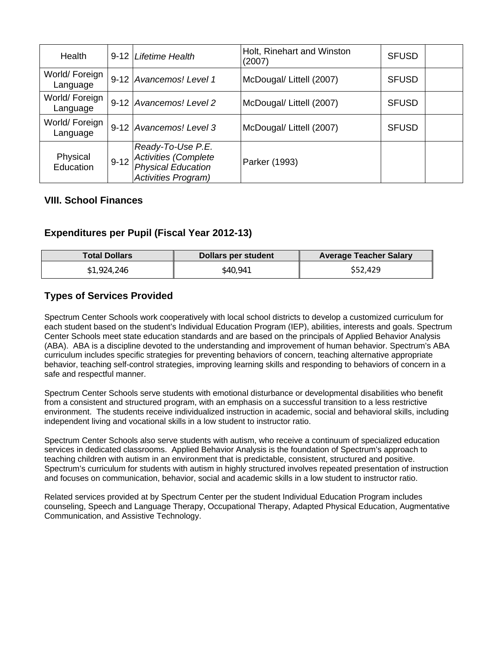| Health                     |          | 9-12 Lifetime Health                                                                          | Holt, Rinehart and Winston<br>(2007) | <b>SFUSD</b> |  |
|----------------------------|----------|-----------------------------------------------------------------------------------------------|--------------------------------------|--------------|--|
| World/ Foreign<br>Language |          | 9-12 Avancemos! Level 1                                                                       | McDougal/ Littell (2007)             | <b>SFUSD</b> |  |
| World/ Foreign<br>Language |          | 9-12 Avancemos! Level 2                                                                       | McDougal/ Littell (2007)             | <b>SFUSD</b> |  |
| World/ Foreign<br>Language |          | 9-12 Avancemos! Level 3                                                                       | McDougal/ Littell (2007)             | <b>SFUSD</b> |  |
| Physical<br>Education      | $9 - 12$ | Ready-To-Use P.E.<br>Activities (Complete<br>Physical Education<br><b>Activities Program)</b> | Parker (1993)                        |              |  |

#### **VIII. School Finances**

### **Expenditures per Pupil (Fiscal Year 2012-13)**

| <b>Total Dollars</b> | Dollars per student | <b>Average Teacher Salary</b> |
|----------------------|---------------------|-------------------------------|
| \$1,924,246          | \$40.941            | \$52,429                      |

#### **Types of Services Provided**

Spectrum Center Schools work cooperatively with local school districts to develop a customized curriculum for each student based on the student's Individual Education Program (IEP), abilities, interests and goals. Spectrum Center Schools meet state education standards and are based on the principals of Applied Behavior Analysis (ABA). ABA is a discipline devoted to the understanding and improvement of human behavior. Spectrum's ABA curriculum includes specific strategies for preventing behaviors of concern, teaching alternative appropriate behavior, teaching self-control strategies, improving learning skills and responding to behaviors of concern in a safe and respectful manner.

Spectrum Center Schools serve students with emotional disturbance or developmental disabilities who benefit from a consistent and structured program, with an emphasis on a successful transition to a less restrictive environment. The students receive individualized instruction in academic, social and behavioral skills, including independent living and vocational skills in a low student to instructor ratio.

Spectrum Center Schools also serve students with autism, who receive a continuum of specialized education services in dedicated classrooms. Applied Behavior Analysis is the foundation of Spectrum's approach to teaching children with autism in an environment that is predictable, consistent, structured and positive. Spectrum's curriculum for students with autism in highly structured involves repeated presentation of instruction and focuses on communication, behavior, social and academic skills in a low student to instructor ratio.

Related services provided at by Spectrum Center per the student Individual Education Program includes counseling, Speech and Language Therapy, Occupational Therapy, Adapted Physical Education, Augmentative Communication, and Assistive Technology.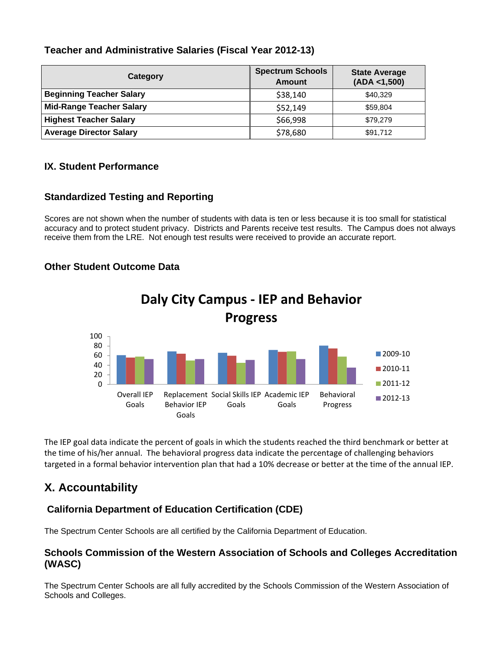### **Teacher and Administrative Salaries (Fiscal Year 2012-13)**

| Category                        | <b>Spectrum Schools</b><br><b>Amount</b> | <b>State Average</b><br>(ADA < 1,500) |
|---------------------------------|------------------------------------------|---------------------------------------|
| <b>Beginning Teacher Salary</b> | \$38,140                                 | \$40,329                              |
| <b>Mid-Range Teacher Salary</b> | \$52,149                                 | \$59,804                              |
| <b>Highest Teacher Salary</b>   | \$66,998                                 | \$79,279                              |
| <b>Average Director Salary</b>  | \$78,680                                 | \$91,712                              |

#### **IX. Student Performance**

#### **Standardized Testing and Reporting**

Scores are not shown when the number of students with data is ten or less because it is too small for statistical accuracy and to protect student privacy. Districts and Parents receive test results. The Campus does not always receive them from the LRE. Not enough test results were received to provide an accurate report.

### **Other Student Outcome Data**



The IEP goal data indicate the percent of goals in which the students reached the third benchmark or better at the time of his/her annual. The behavioral progress data indicate the percentage of challenging behaviors targeted in a formal behavior intervention plan that had a 10% decrease or better at the time of the annual IEP.

## **X. Accountability**

#### **California Department of Education Certification (CDE)**

The Spectrum Center Schools are all certified by the California Department of Education.

#### **Schools Commission of the Western Association of Schools and Colleges Accreditation (WASC)**

The Spectrum Center Schools are all fully accredited by the Schools Commission of the Western Association of Schools and Colleges.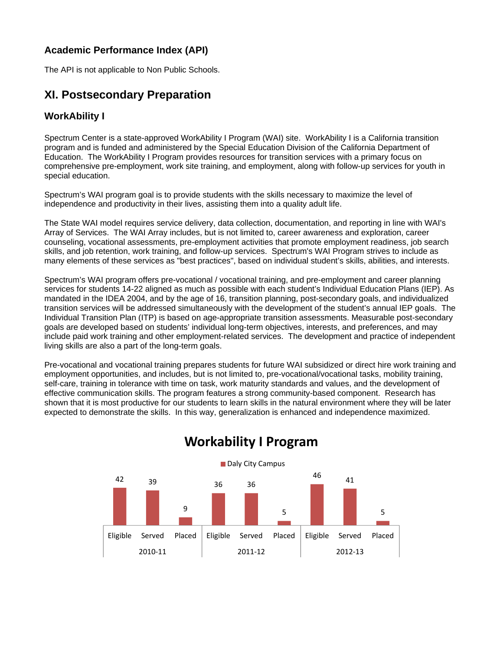### **Academic Performance Index (API)**

The API is not applicable to Non Public Schools.

## **XI. Postsecondary Preparation**

### **WorkAbility I**

Spectrum Center is a state-approved WorkAbility I Program (WAI) site. WorkAbility I is a California transition program and is funded and administered by the Special Education Division of the California Department of Education. The WorkAbility I Program provides resources for transition services with a primary focus on comprehensive pre-employment, work site training, and employment, along with follow-up services for youth in special education.

Spectrum's WAI program goal is to provide students with the skills necessary to maximize the level of independence and productivity in their lives, assisting them into a quality adult life.

The State WAI model requires service delivery, data collection, documentation, and reporting in line with WAI's Array of Services. The WAI Array includes, but is not limited to, career awareness and exploration, career counseling, vocational assessments, pre-employment activities that promote employment readiness, job search skills, and job retention, work training, and follow-up services. Spectrum's WAI Program strives to include as many elements of these services as "best practices", based on individual student's skills, abilities, and interests.

Spectrum's WAI program offers pre-vocational / vocational training, and pre-employment and career planning services for students 14-22 aligned as much as possible with each student's Individual Education Plans (IEP). As mandated in the IDEA 2004, and by the age of 16, transition planning, post-secondary goals, and individualized transition services will be addressed simultaneously with the development of the student's annual IEP goals. The Individual Transition Plan (ITP) is based on age-appropriate transition assessments. Measurable post-secondary goals are developed based on students' individual long-term objectives, interests, and preferences, and may include paid work training and other employment-related services. The development and practice of independent living skills are also a part of the long-term goals.

Pre-vocational and vocational training prepares students for future WAI subsidized or direct hire work training and employment opportunities, and includes, but is not limited to, pre-vocational/vocational tasks, mobility training, self-care, training in tolerance with time on task, work maturity standards and values, and the development of effective communication skills. The program features a strong community-based component. Research has shown that it is most productive for our students to learn skills in the natural environment where they will be later expected to demonstrate the skills. In this way, generalization is enhanced and independence maximized.



# **Workability I Program**